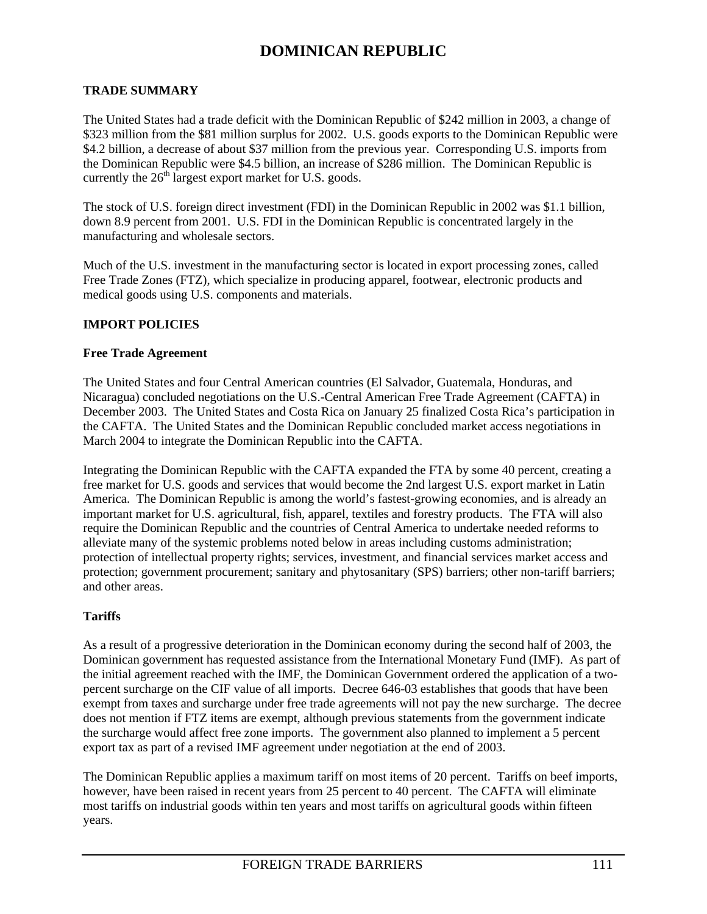#### **TRADE SUMMARY**

The United States had a trade deficit with the Dominican Republic of \$242 million in 2003, a change of \$323 million from the \$81 million surplus for 2002. U.S. goods exports to the Dominican Republic were \$4.2 billion, a decrease of about \$37 million from the previous year. Corresponding U.S. imports from the Dominican Republic were \$4.5 billion, an increase of \$286 million. The Dominican Republic is currently the  $26<sup>th</sup>$  largest export market for U.S. goods.

The stock of U.S. foreign direct investment (FDI) in the Dominican Republic in 2002 was \$1.1 billion, down 8.9 percent from 2001. U.S. FDI in the Dominican Republic is concentrated largely in the manufacturing and wholesale sectors.

Much of the U.S. investment in the manufacturing sector is located in export processing zones, called Free Trade Zones (FTZ), which specialize in producing apparel, footwear, electronic products and medical goods using U.S. components and materials.

### **IMPORT POLICIES**

#### **Free Trade Agreement**

The United States and four Central American countries (El Salvador, Guatemala, Honduras, and Nicaragua) concluded negotiations on the U.S.-Central American Free Trade Agreement (CAFTA) in December 2003. The United States and Costa Rica on January 25 finalized Costa Rica's participation in the CAFTA. The United States and the Dominican Republic concluded market access negotiations in March 2004 to integrate the Dominican Republic into the CAFTA.

Integrating the Dominican Republic with the CAFTA expanded the FTA by some 40 percent, creating a free market for U.S. goods and services that would become the 2nd largest U.S. export market in Latin America. The Dominican Republic is among the world's fastest-growing economies, and is already an important market for U.S. agricultural, fish, apparel, textiles and forestry products. The FTA will also require the Dominican Republic and the countries of Central America to undertake needed reforms to alleviate many of the systemic problems noted below in areas including customs administration; protection of intellectual property rights; services, investment, and financial services market access and protection; government procurement; sanitary and phytosanitary (SPS) barriers; other non-tariff barriers; and other areas.

### **Tariffs**

As a result of a progressive deterioration in the Dominican economy during the second half of 2003, the Dominican government has requested assistance from the International Monetary Fund (IMF). As part of the initial agreement reached with the IMF, the Dominican Government ordered the application of a twopercent surcharge on the CIF value of all imports. Decree 646-03 establishes that goods that have been exempt from taxes and surcharge under free trade agreements will not pay the new surcharge. The decree does not mention if FTZ items are exempt, although previous statements from the government indicate the surcharge would affect free zone imports. The government also planned to implement a 5 percent export tax as part of a revised IMF agreement under negotiation at the end of 2003.

The Dominican Republic applies a maximum tariff on most items of 20 percent. Tariffs on beef imports, however, have been raised in recent years from 25 percent to 40 percent. The CAFTA will eliminate most tariffs on industrial goods within ten years and most tariffs on agricultural goods within fifteen years.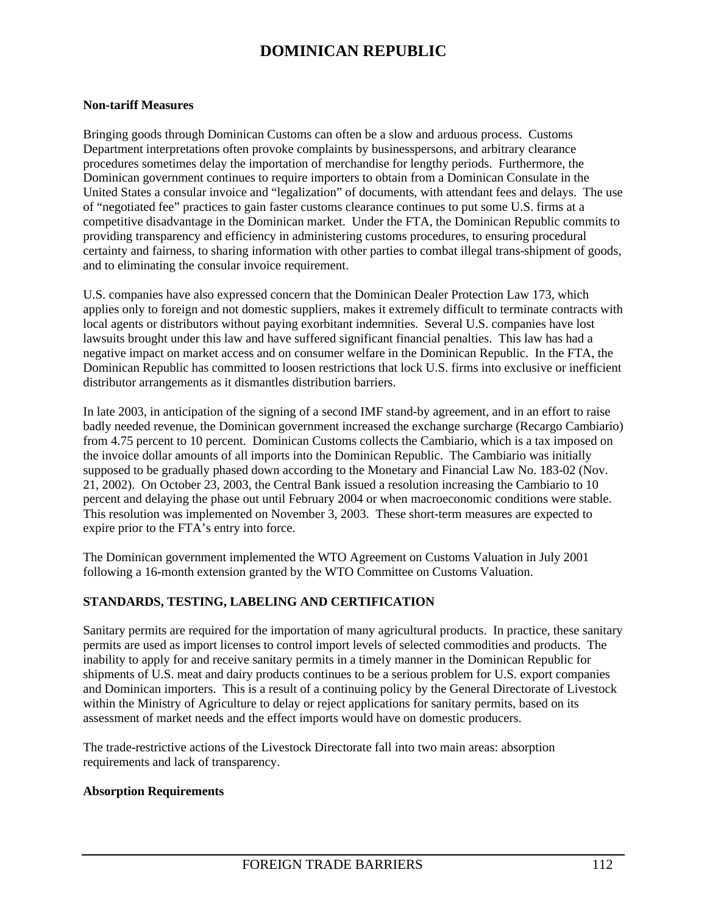#### **Non-tariff Measures**

Bringing goods through Dominican Customs can often be a slow and arduous process. Customs Department interpretations often provoke complaints by businesspersons, and arbitrary clearance procedures sometimes delay the importation of merchandise for lengthy periods. Furthermore, the Dominican government continues to require importers to obtain from a Dominican Consulate in the United States a consular invoice and "legalization" of documents, with attendant fees and delays. The use of "negotiated fee" practices to gain faster customs clearance continues to put some U.S. firms at a competitive disadvantage in the Dominican market. Under the FTA, the Dominican Republic commits to providing transparency and efficiency in administering customs procedures, to ensuring procedural certainty and fairness, to sharing information with other parties to combat illegal trans-shipment of goods, and to eliminating the consular invoice requirement.

U.S. companies have also expressed concern that the Dominican Dealer Protection Law 173, which applies only to foreign and not domestic suppliers, makes it extremely difficult to terminate contracts with local agents or distributors without paying exorbitant indemnities. Several U.S. companies have lost lawsuits brought under this law and have suffered significant financial penalties. This law has had a negative impact on market access and on consumer welfare in the Dominican Republic. In the FTA, the Dominican Republic has committed to loosen restrictions that lock U.S. firms into exclusive or inefficient distributor arrangements as it dismantles distribution barriers.

In late 2003, in anticipation of the signing of a second IMF stand-by agreement, and in an effort to raise badly needed revenue, the Dominican government increased the exchange surcharge (Recargo Cambiario) from 4.75 percent to 10 percent. Dominican Customs collects the Cambiario, which is a tax imposed on the invoice dollar amounts of all imports into the Dominican Republic. The Cambiario was initially supposed to be gradually phased down according to the Monetary and Financial Law No. 183-02 (Nov. 21, 2002). On October 23, 2003, the Central Bank issued a resolution increasing the Cambiario to 10 percent and delaying the phase out until February 2004 or when macroeconomic conditions were stable. This resolution was implemented on November 3, 2003. These short-term measures are expected to expire prior to the FTA's entry into force.

The Dominican government implemented the WTO Agreement on Customs Valuation in July 2001 following a 16-month extension granted by the WTO Committee on Customs Valuation.

### **STANDARDS, TESTING, LABELING AND CERTIFICATION**

Sanitary permits are required for the importation of many agricultural products. In practice, these sanitary permits are used as import licenses to control import levels of selected commodities and products. The inability to apply for and receive sanitary permits in a timely manner in the Dominican Republic for shipments of U.S. meat and dairy products continues to be a serious problem for U.S. export companies and Dominican importers. This is a result of a continuing policy by the General Directorate of Livestock within the Ministry of Agriculture to delay or reject applications for sanitary permits, based on its assessment of market needs and the effect imports would have on domestic producers.

The trade-restrictive actions of the Livestock Directorate fall into two main areas: absorption requirements and lack of transparency.

#### **Absorption Requirements**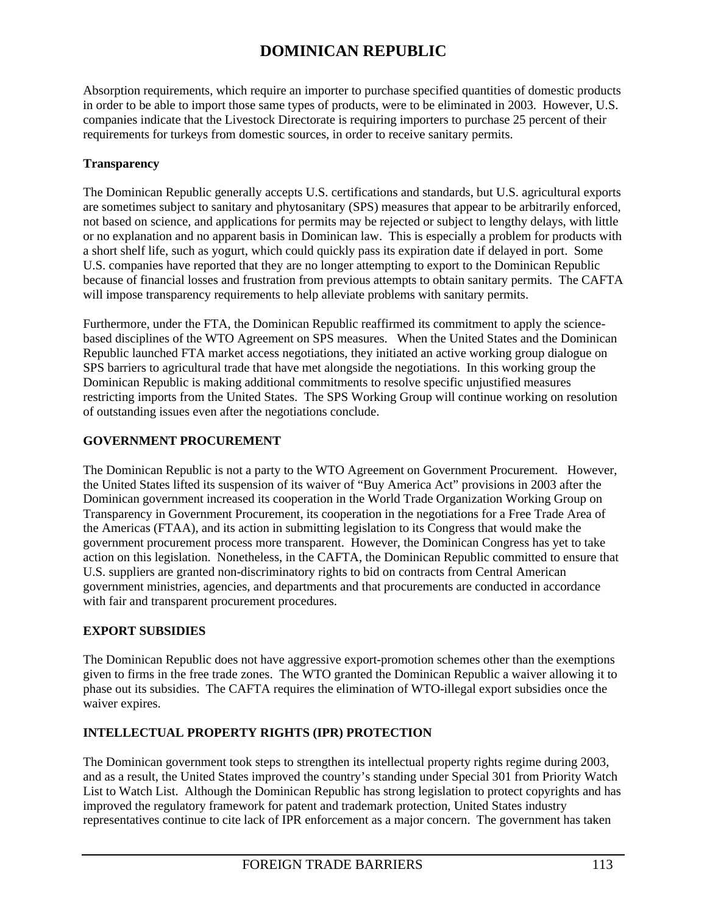Absorption requirements, which require an importer to purchase specified quantities of domestic products in order to be able to import those same types of products, were to be eliminated in 2003. However, U.S. companies indicate that the Livestock Directorate is requiring importers to purchase 25 percent of their requirements for turkeys from domestic sources, in order to receive sanitary permits.

## **Transparency**

The Dominican Republic generally accepts U.S. certifications and standards, but U.S. agricultural exports are sometimes subject to sanitary and phytosanitary (SPS) measures that appear to be arbitrarily enforced, not based on science, and applications for permits may be rejected or subject to lengthy delays, with little or no explanation and no apparent basis in Dominican law. This is especially a problem for products with a short shelf life, such as yogurt, which could quickly pass its expiration date if delayed in port. Some U.S. companies have reported that they are no longer attempting to export to the Dominican Republic because of financial losses and frustration from previous attempts to obtain sanitary permits. The CAFTA will impose transparency requirements to help alleviate problems with sanitary permits.

Furthermore, under the FTA, the Dominican Republic reaffirmed its commitment to apply the sciencebased disciplines of the WTO Agreement on SPS measures. When the United States and the Dominican Republic launched FTA market access negotiations, they initiated an active working group dialogue on SPS barriers to agricultural trade that have met alongside the negotiations. In this working group the Dominican Republic is making additional commitments to resolve specific unjustified measures restricting imports from the United States. The SPS Working Group will continue working on resolution of outstanding issues even after the negotiations conclude.

## **GOVERNMENT PROCUREMENT**

The Dominican Republic is not a party to the WTO Agreement on Government Procurement. However, the United States lifted its suspension of its waiver of "Buy America Act" provisions in 2003 after the Dominican government increased its cooperation in the World Trade Organization Working Group on Transparency in Government Procurement, its cooperation in the negotiations for a Free Trade Area of the Americas (FTAA), and its action in submitting legislation to its Congress that would make the government procurement process more transparent. However, the Dominican Congress has yet to take action on this legislation. Nonetheless, in the CAFTA, the Dominican Republic committed to ensure that U.S. suppliers are granted non-discriminatory rights to bid on contracts from Central American government ministries, agencies, and departments and that procurements are conducted in accordance with fair and transparent procurement procedures.

## **EXPORT SUBSIDIES**

The Dominican Republic does not have aggressive export-promotion schemes other than the exemptions given to firms in the free trade zones. The WTO granted the Dominican Republic a waiver allowing it to phase out its subsidies. The CAFTA requires the elimination of WTO-illegal export subsidies once the waiver expires.

## **INTELLECTUAL PROPERTY RIGHTS (IPR) PROTECTION**

The Dominican government took steps to strengthen its intellectual property rights regime during 2003, and as a result, the United States improved the country's standing under Special 301 from Priority Watch List to Watch List. Although the Dominican Republic has strong legislation to protect copyrights and has improved the regulatory framework for patent and trademark protection, United States industry representatives continue to cite lack of IPR enforcement as a major concern. The government has taken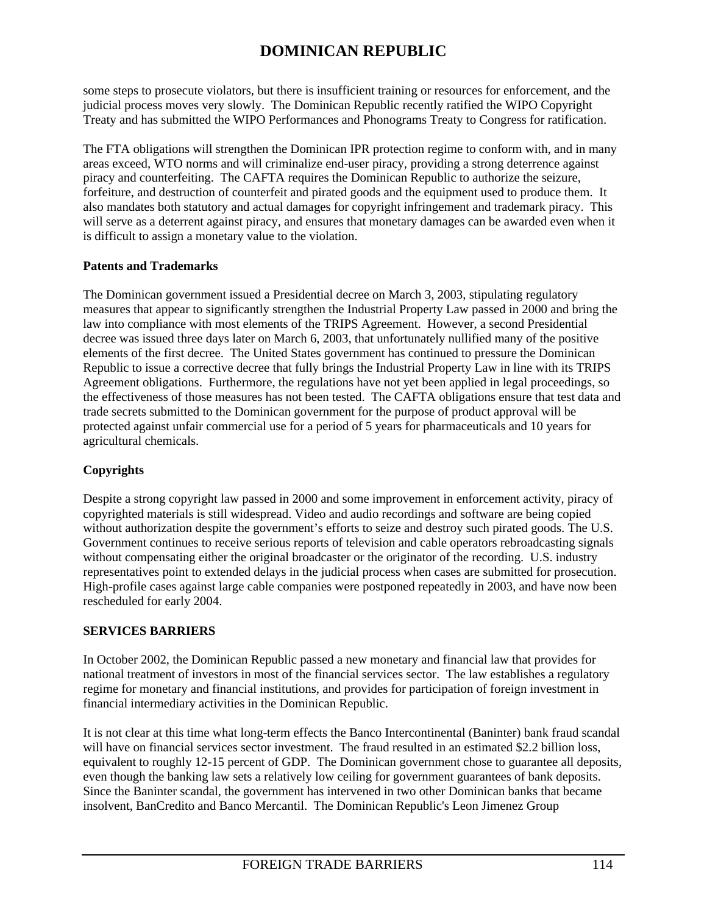some steps to prosecute violators, but there is insufficient training or resources for enforcement, and the judicial process moves very slowly. The Dominican Republic recently ratified the WIPO Copyright Treaty and has submitted the WIPO Performances and Phonograms Treaty to Congress for ratification.

The FTA obligations will strengthen the Dominican IPR protection regime to conform with, and in many areas exceed, WTO norms and will criminalize end-user piracy, providing a strong deterrence against piracy and counterfeiting. The CAFTA requires the Dominican Republic to authorize the seizure, forfeiture, and destruction of counterfeit and pirated goods and the equipment used to produce them. It also mandates both statutory and actual damages for copyright infringement and trademark piracy. This will serve as a deterrent against piracy, and ensures that monetary damages can be awarded even when it is difficult to assign a monetary value to the violation.

## **Patents and Trademarks**

The Dominican government issued a Presidential decree on March 3, 2003, stipulating regulatory measures that appear to significantly strengthen the Industrial Property Law passed in 2000 and bring the law into compliance with most elements of the TRIPS Agreement. However, a second Presidential decree was issued three days later on March 6, 2003, that unfortunately nullified many of the positive elements of the first decree. The United States government has continued to pressure the Dominican Republic to issue a corrective decree that fully brings the Industrial Property Law in line with its TRIPS Agreement obligations. Furthermore, the regulations have not yet been applied in legal proceedings, so the effectiveness of those measures has not been tested. The CAFTA obligations ensure that test data and trade secrets submitted to the Dominican government for the purpose of product approval will be protected against unfair commercial use for a period of 5 years for pharmaceuticals and 10 years for agricultural chemicals.

## **Copyrights**

Despite a strong copyright law passed in 2000 and some improvement in enforcement activity, piracy of copyrighted materials is still widespread. Video and audio recordings and software are being copied without authorization despite the government's efforts to seize and destroy such pirated goods. The U.S. Government continues to receive serious reports of television and cable operators rebroadcasting signals without compensating either the original broadcaster or the originator of the recording. U.S. industry representatives point to extended delays in the judicial process when cases are submitted for prosecution. High-profile cases against large cable companies were postponed repeatedly in 2003, and have now been rescheduled for early 2004.

## **SERVICES BARRIERS**

In October 2002, the Dominican Republic passed a new monetary and financial law that provides for national treatment of investors in most of the financial services sector. The law establishes a regulatory regime for monetary and financial institutions, and provides for participation of foreign investment in financial intermediary activities in the Dominican Republic.

It is not clear at this time what long-term effects the Banco Intercontinental (Baninter) bank fraud scandal will have on financial services sector investment. The fraud resulted in an estimated \$2.2 billion loss, equivalent to roughly 12-15 percent of GDP. The Dominican government chose to guarantee all deposits, even though the banking law sets a relatively low ceiling for government guarantees of bank deposits. Since the Baninter scandal, the government has intervened in two other Dominican banks that became insolvent, BanCredito and Banco Mercantil. The Dominican Republic's Leon Jimenez Group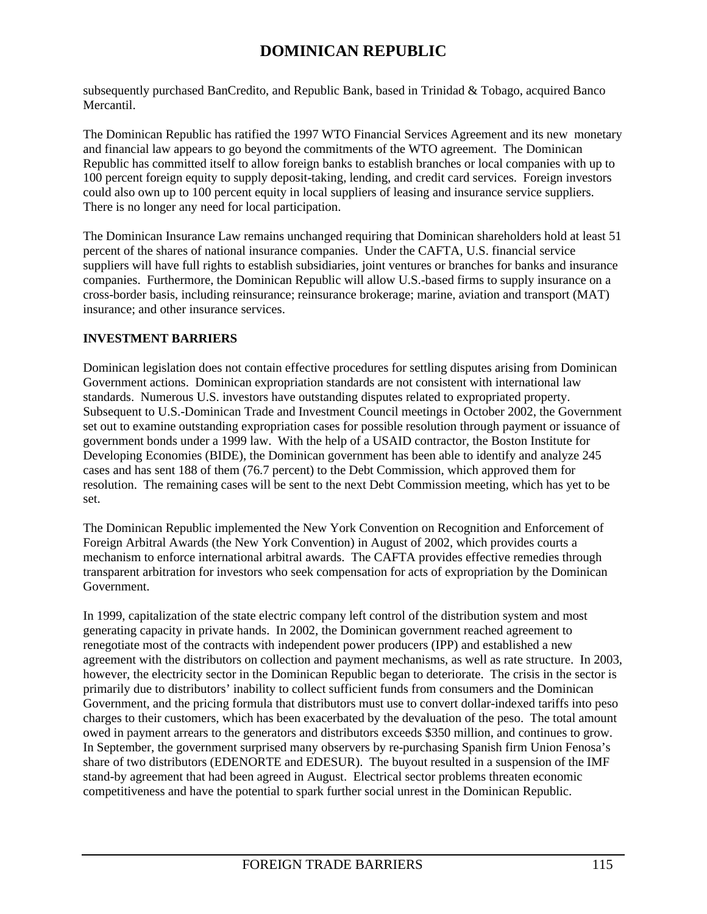subsequently purchased BanCredito, and Republic Bank, based in Trinidad  $&$  Tobago, acquired Banco Mercantil.

The Dominican Republic has ratified the 1997 WTO Financial Services Agreement and its new monetary and financial law appears to go beyond the commitments of the WTO agreement. The Dominican Republic has committed itself to allow foreign banks to establish branches or local companies with up to 100 percent foreign equity to supply deposit-taking, lending, and credit card services. Foreign investors could also own up to 100 percent equity in local suppliers of leasing and insurance service suppliers. There is no longer any need for local participation.

The Dominican Insurance Law remains unchanged requiring that Dominican shareholders hold at least 51 percent of the shares of national insurance companies. Under the CAFTA, U.S. financial service suppliers will have full rights to establish subsidiaries, joint ventures or branches for banks and insurance companies. Furthermore, the Dominican Republic will allow U.S.-based firms to supply insurance on a cross-border basis, including reinsurance; reinsurance brokerage; marine, aviation and transport (MAT) insurance; and other insurance services.

## **INVESTMENT BARRIERS**

Dominican legislation does not contain effective procedures for settling disputes arising from Dominican Government actions. Dominican expropriation standards are not consistent with international law standards. Numerous U.S. investors have outstanding disputes related to expropriated property. Subsequent to U.S.-Dominican Trade and Investment Council meetings in October 2002, the Government set out to examine outstanding expropriation cases for possible resolution through payment or issuance of government bonds under a 1999 law. With the help of a USAID contractor, the Boston Institute for Developing Economies (BIDE), the Dominican government has been able to identify and analyze 245 cases and has sent 188 of them (76.7 percent) to the Debt Commission, which approved them for resolution. The remaining cases will be sent to the next Debt Commission meeting, which has yet to be set.

The Dominican Republic implemented the New York Convention on Recognition and Enforcement of Foreign Arbitral Awards (the New York Convention) in August of 2002, which provides courts a mechanism to enforce international arbitral awards. The CAFTA provides effective remedies through transparent arbitration for investors who seek compensation for acts of expropriation by the Dominican Government.

In 1999, capitalization of the state electric company left control of the distribution system and most generating capacity in private hands. In 2002, the Dominican government reached agreement to renegotiate most of the contracts with independent power producers (IPP) and established a new agreement with the distributors on collection and payment mechanisms, as well as rate structure. In 2003, however, the electricity sector in the Dominican Republic began to deteriorate. The crisis in the sector is primarily due to distributors' inability to collect sufficient funds from consumers and the Dominican Government, and the pricing formula that distributors must use to convert dollar-indexed tariffs into peso charges to their customers, which has been exacerbated by the devaluation of the peso. The total amount owed in payment arrears to the generators and distributors exceeds \$350 million, and continues to grow. In September, the government surprised many observers by re-purchasing Spanish firm Union Fenosa's share of two distributors (EDENORTE and EDESUR). The buyout resulted in a suspension of the IMF stand-by agreement that had been agreed in August. Electrical sector problems threaten economic competitiveness and have the potential to spark further social unrest in the Dominican Republic.